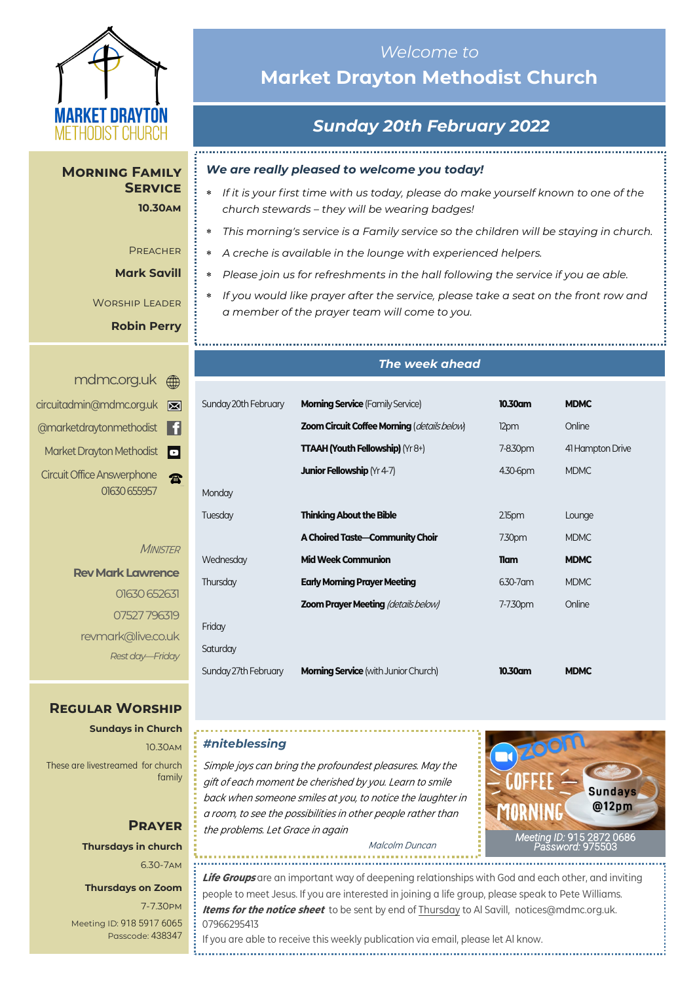

**Morning Family Service 10.30am**

> **PREACHER Mark Savill**

Worship Leader

**Robin Perry**

|   | mdmc.org.uk A                                     |
|---|---------------------------------------------------|
| ⊠ | circuitadmin@mdmc.org.uk                          |
| и | @marketdraytonmethodist                           |
| Ы | Market Drayton Methodist                          |
|   | <b>Circuit Office Answerphone</b><br>01630 655957 |

#### **MINISTER**

**Rev Mark Lawrence** 01630 652631 07527 796319 revmark@live.co.uk *Rest day—Friday*

## **Regular Worship**

**Sundays in Church** 10.30am These are livestreamed for church family

## **Prayer Thursdays in church** 6.30-7am

#### **Thursdays on Zoom**

7-7.30pm [Meeting ID:](https://us04web.zoom.us/j/77138650306?fbclid=IwAR1B778-w3GWZgDnAqUFq-X6hXjzASNTsZuRIt4kZ4Cpyur_3CO2EGlBBwY#success) 918 5917 6065 Passcode: 438347

## *Welcome to*  **Market Drayton Methodist Church**

# *Sunday 20th February 2022*

*We are really pleased to welcome you today!*

- *If it is your first time with us today, please do make yourself known to one of the church stewards – they will be wearing badges!*
- *This morning's service is a Family service so the children will be staying in church.*
- *A creche is available in the lounge with experienced helpers.*
- *Please join us for refreshments in the hall following the service if you ae able.*
- *If you would like prayer after the service, please take a seat on the front row and a member of the prayer team will come to you.*

### *The week ahead*

| Sunday 20th February | <b>Morning Service (Family Service)</b>     | 10.30am            | <b>MDMC</b>      |
|----------------------|---------------------------------------------|--------------------|------------------|
|                      | Zoom Circuit Coffee Morning (details below) | 12pm               | Online           |
|                      | <b>TTAAH (Youth Fellowship)</b> ( $Yr8+$ )  | 7-8.30pm           | 41 Hampton Drive |
|                      | <b>Junior Fellowship (Yr 4-7)</b>           | 4.30-6pm           | <b>MDMC</b>      |
| Monday               |                                             |                    |                  |
| Tuesday              | <b>Thinking About the Bible</b>             | 2.15 <sub>pm</sub> | Lounge           |
|                      | A Choired Taste-Community Choir             | 7.30pm             | <b>MDMC</b>      |
| Wednesday            | <b>Mid Week Communion</b>                   | <b>Tiam</b>        | <b>MDMC</b>      |
| Thursday             | <b>Early Morning Prayer Meeting</b>         | 6.30-7 am          | <b>MDMC</b>      |
|                      | <b>Zoom Prayer Meeting (details below)</b>  | 7-7.30pm           | Online           |
| Friday               |                                             |                    |                  |
| Saturday             |                                             |                    |                  |
| Sunday 27th February | <b>Morning Service</b> (with Junior Church) | 10.30am            | <b>MDMC</b>      |

### *#niteblessing*

Simple joys can bring the profoundest pleasures. May the gift of each moment be cherished by you. Learn to smile back when someone smiles at you, to notice the laughter in a room, to see the possibilities in other people rather than the problems. Let Grace in again



Malcolm Duncan

**Life Groups** are an important way of deepening relationships with God and each other, and inviting people to meet Jesus. If you are interested in joining a life group, please speak to Pete Williams. **Items for the notice sheet** to be sent by end of Thursday to Al Savill, notices@mdmc.org.uk. 07966295413 If you are able to receive this weekly publication via email, please let Al know.